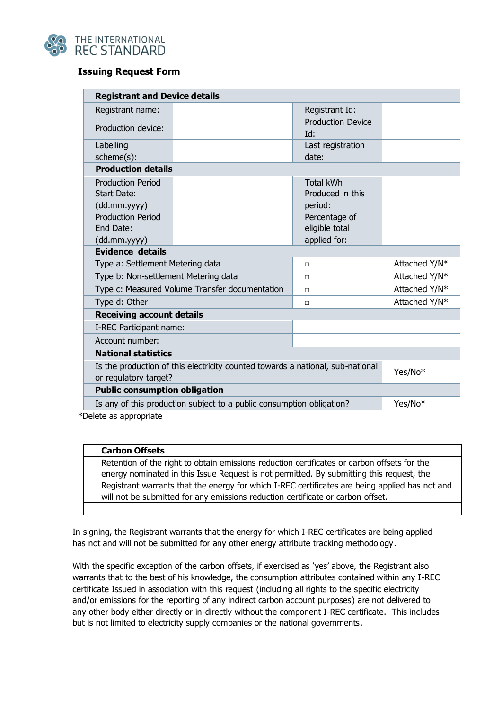

## **Issuing Request Form**

| <b>Registrant and Device details</b>                                                                    |                                                 |               |  |
|---------------------------------------------------------------------------------------------------------|-------------------------------------------------|---------------|--|
| Registrant name:                                                                                        | Registrant Id:                                  |               |  |
| Production device:                                                                                      | <b>Production Device</b><br>Id:                 |               |  |
| Labelling<br>scheme(s):                                                                                 | Last registration<br>date:                      |               |  |
| <b>Production details</b>                                                                               |                                                 |               |  |
| <b>Production Period</b><br>Start Date:<br>(dd.mm.yyyy)                                                 | <b>Total kWh</b><br>Produced in this<br>period: |               |  |
| <b>Production Period</b><br>End Date:<br>(dd.mm.yyyy)                                                   | Percentage of<br>eligible total<br>applied for: |               |  |
| <b>Evidence details</b>                                                                                 |                                                 |               |  |
| Type a: Settlement Metering data                                                                        | П                                               | Attached Y/N* |  |
| Type b: Non-settlement Metering data                                                                    | ◻                                               | Attached Y/N* |  |
| Type c: Measured Volume Transfer documentation                                                          | $\Box$                                          | Attached Y/N* |  |
| Type d: Other                                                                                           | П                                               | Attached Y/N* |  |
| <b>Receiving account details</b>                                                                        |                                                 |               |  |
| I-REC Participant name:                                                                                 |                                                 |               |  |
| Account number:                                                                                         |                                                 |               |  |
| <b>National statistics</b>                                                                              |                                                 |               |  |
| Is the production of this electricity counted towards a national, sub-national<br>or regulatory target? | Yes/No*                                         |               |  |
| <b>Public consumption obligation</b>                                                                    |                                                 |               |  |
| Is any of this production subject to a public consumption obligation?                                   |                                                 | Yes/No*       |  |

\*Delete as appropriate

## **Carbon Offsets**

Retention of the right to obtain emissions reduction certificates or carbon offsets for the energy nominated in this Issue Request is not permitted. By submitting this request, the Registrant warrants that the energy for which I-REC certificates are being applied has not and will not be submitted for any emissions reduction certificate or carbon offset.

In signing, the Registrant warrants that the energy for which I-REC certificates are being applied has not and will not be submitted for any other energy attribute tracking methodology.

With the specific exception of the carbon offsets, if exercised as 'yes' above, the Registrant also warrants that to the best of his knowledge, the consumption attributes contained within any I-REC certificate Issued in association with this request (including all rights to the specific electricity and/or emissions for the reporting of any indirect carbon account purposes) are not delivered to any other body either directly or in-directly without the component I-REC certificate. This includes but is not limited to electricity supply companies or the national governments.